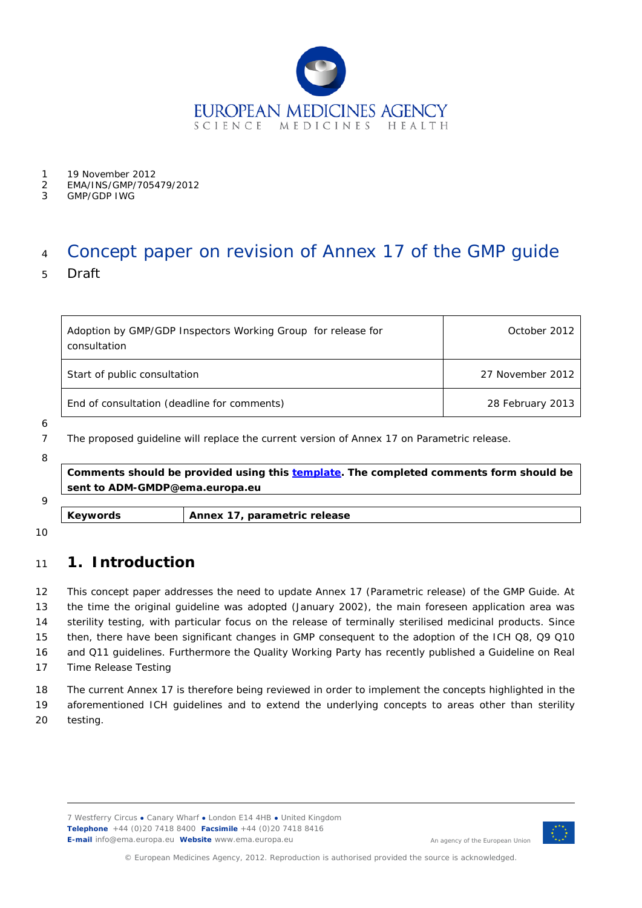

- 
- 1 19 November 2012<br>2 EMA/INS/GMP/7054 2 EMA/INS/GMP/705479/2012
- 3 GMP/GDP IWG

# <sup>4</sup> Concept paper on revision of Annex 17 of the GMP guide

5 Draft

| Adoption by GMP/GDP Inspectors Working Group for release for<br>consultation | October 2012     |
|------------------------------------------------------------------------------|------------------|
| Start of public consultation                                                 | 27 November 2012 |
| End of consultation (deadline for comments)                                  | 28 February 2013 |

6

7 The proposed guideline will replace the current version of Annex 17 on Parametric release.

8

**Comments should be provided using this [template.](http://www.ema.europa.eu/docs/en_GB/document_library/Template_or_form/2009/10/WC500004016.doc) The completed comments form should be sent to ADM-GMDP@ema.europa.eu**

| Q |                     |                                 |
|---|---------------------|---------------------------------|
|   | $\sim$<br>$\ddotsc$ | tric<br>ease<br>۰۵۷<br>.<br>--- |

10

# <sup>11</sup> **1. Introduction**

 This concept paper addresses the need to update Annex 17 (Parametric release) of the GMP Guide. At the time the original guideline was adopted (January 2002), the main foreseen application area was sterility testing, with particular focus on the release of terminally sterilised medicinal products. Since then, there have been significant changes in GMP consequent to the adoption of the ICH Q8, Q9 Q10 and Q11 guidelines. Furthermore the Quality Working Party has recently published a Guideline on Real Time Release Testing

18 The current Annex 17 is therefore being reviewed in order to implement the concepts highlighted in the 19 aforementioned ICH guidelines and to extend the underlying concepts to areas other than sterility 20 testing.

7 Westferry Circus **●** Canary Wharf **●** London E14 4HB **●** United Kingdom **Telephone** +44 (0)20 7418 8400 **Facsimile** +44 (0)20 7418 8416 **E-mail** info@ema.europa.eu **Website** www.ema.europa.eu



An agency of the European Union

© European Medicines Agency, 2012. Reproduction is authorised provided the source is acknowledged.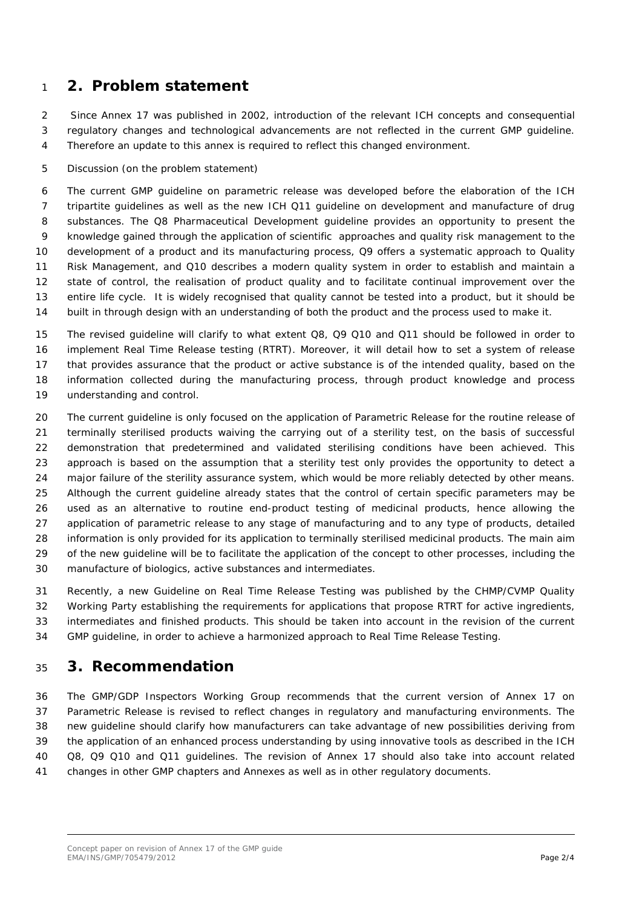## **2. Problem statement**

 Since Annex 17 was published in 2002, introduction of the relevant ICH concepts and consequential regulatory changes and technological advancements are not reflected in the current GMP guideline. Therefore an update to this annex is required to reflect this changed environment.

Discussion (on the problem statement)

 The current GMP guideline on parametric release was developed before the elaboration of the ICH 7 tripartite guidelines as well as the new ICH Q11 guideline on development and manufacture of drug substances. The Q8 Pharmaceutical Development guideline provides an opportunity to present the knowledge gained through the application of scientific approaches and quality risk management to the development of a product and its manufacturing process, Q9 offers a systematic approach to Quality Risk Management, and Q10 describes a modern quality system in order to establish and maintain a state of control, the realisation of product quality and to facilitate continual improvement over the entire life cycle. It is widely recognised that quality cannot be tested into a product, but it should be built in through design with an understanding of both the product and the process used to make it.

 The revised guideline will clarify to what extent Q8, Q9 Q10 and Q11 should be followed in order to implement Real Time Release testing (RTRT). Moreover, it will detail how to set a system of release that provides assurance that the product or active substance is of the intended quality, based on the information collected during the manufacturing process, through product knowledge and process understanding and control.

 The current guideline is only focused on the application of Parametric Release for the routine release of terminally sterilised products waiving the carrying out of a sterility test, on the basis of successful demonstration that predetermined and validated sterilising conditions have been achieved. This approach is based on the assumption that a sterility test only provides the opportunity to detect a major failure of the sterility assurance system, which would be more reliably detected by other means. Although the current guideline already states that the control of certain specific parameters may be used as an alternative to routine end-product testing of medicinal products, hence allowing the application of parametric release to any stage of manufacturing and to any type of products, detailed information is only provided for its application to terminally sterilised medicinal products. The main aim of the new guideline will be to facilitate the application of the concept to other processes, including the manufacture of biologics, active substances and intermediates.

 Recently, a new Guideline on Real Time Release Testing was published by the CHMP/CVMP Quality Working Party establishing the requirements for applications that propose RTRT for active ingredients, intermediates and finished products. This should be taken into account in the revision of the current GMP guideline, in order to achieve a harmonized approach to Real Time Release Testing.

#### **3. Recommendation**

 The GMP/GDP Inspectors Working Group recommends that the current version of Annex 17 on Parametric Release is revised to reflect changes in regulatory and manufacturing environments. The new guideline should clarify how manufacturers can take advantage of new possibilities deriving from the application of an enhanced process understanding by using innovative tools as described in the ICH Q8, Q9 Q10 and Q11 guidelines. The revision of Annex 17 should also take into account related changes in other GMP chapters and Annexes as well as in other regulatory documents.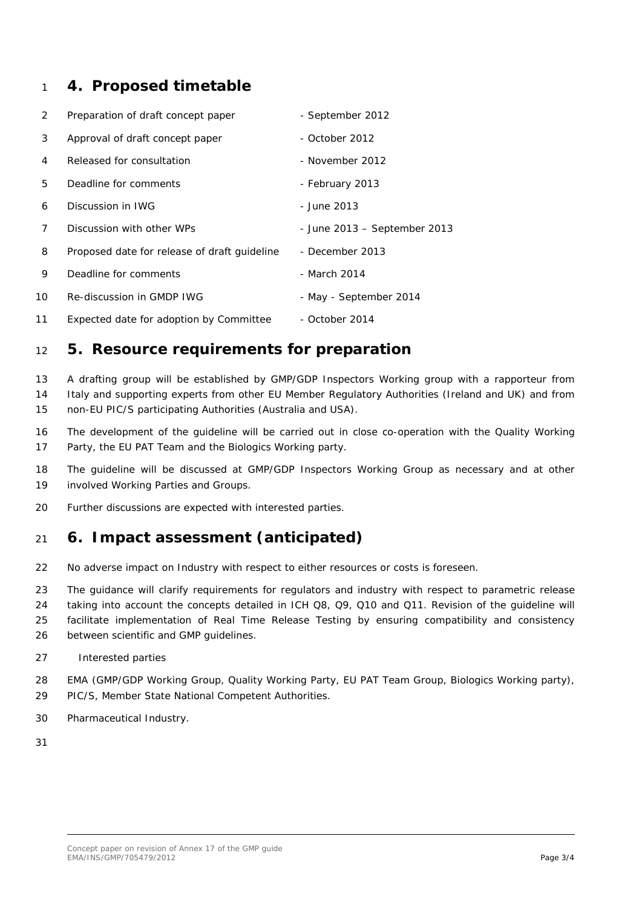### **4. Proposed timetable**

| $\overline{2}$ | Preparation of draft concept paper           | - September 2012             |
|----------------|----------------------------------------------|------------------------------|
| 3              | Approval of draft concept paper              | - October 2012               |
| 4              | Released for consultation                    | - November 2012              |
| 5              | Deadline for comments                        | - February 2013              |
| 6              | Discussion in IWG                            | - June 2013                  |
| 7              | Discussion with other WPs                    | - June 2013 – September 2013 |
| 8              | Proposed date for release of draft guideline | - December 2013              |
| 9              | Deadline for comments                        | - March 2014                 |
| 10             | Re-discussion in GMDP IWG                    | - May - September 2014       |
| 11             | Expected date for adoption by Committee      | - October 2014               |

#### **5. Resource requirements for preparation**

 A drafting group will be established by GMP/GDP Inspectors Working group with a rapporteur from Italy and supporting experts from other EU Member Regulatory Authorities (Ireland and UK) and from non-EU PIC/S participating Authorities (Australia and USA).

 The development of the guideline will be carried out in close co-operation with the Quality Working Party, the EU PAT Team and the Biologics Working party.

 The guideline will be discussed at GMP/GDP Inspectors Working Group as necessary and at other involved Working Parties and Groups.

Further discussions are expected with interested parties.

# **6. Impact assessment (anticipated)**

No adverse impact on Industry with respect to either resources or costs is foreseen.

 The guidance will clarify requirements for regulators and industry with respect to parametric release taking into account the concepts detailed in ICH Q8, Q9, Q10 and Q11. Revision of the guideline will

 facilitate implementation of Real Time Release Testing by ensuring compatibility and consistency between scientific and GMP guidelines.

#### 27 Interested parties

 EMA (GMP/GDP Working Group, Quality Working Party, EU PAT Team Group, Biologics Working party), PIC/S, Member State National Competent Authorities.

- Pharmaceutical Industry.
-